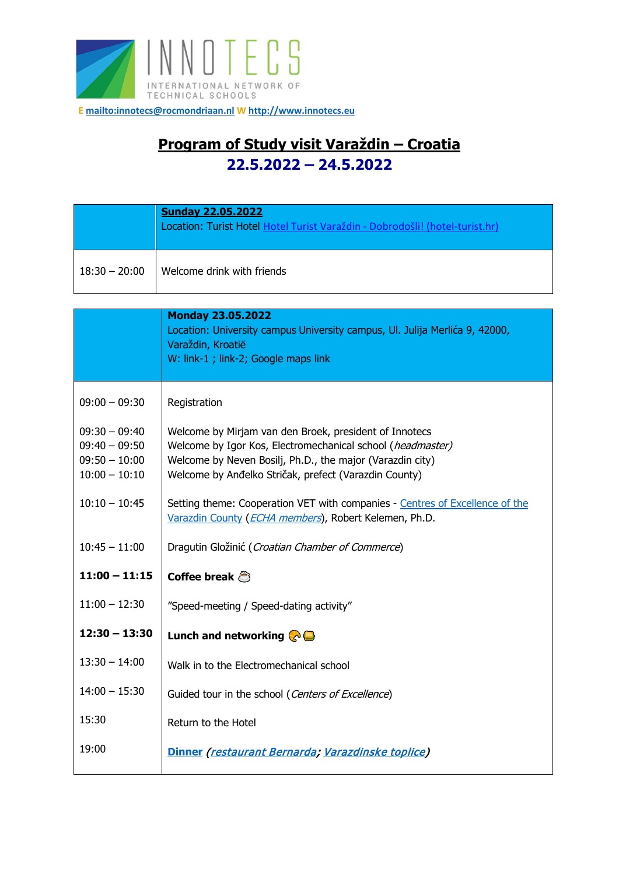

**[E mailto:innotecs@rocmondriaan.nl](mailto:innotecs@rocmondriaan.nl) W [http://www.innotecs.eu](http://www.innotecs.eu/)**

## **Program of Study visit Varaždin – Croatia 22.5.2022 – 24.5.2022**

|                 | <b>Sunday 22.05.2022</b><br>Location: Turist Hotel Hotel Turist Varaždin - Dobrodošli! (hotel-turist.hr) |
|-----------------|----------------------------------------------------------------------------------------------------------|
| $18:30 - 20:00$ | Welcome drink with friends                                                                               |

|                                                                          | <b>Monday 23.05.2022</b><br>Location: University campus University campus, Ul. Julija Merlića 9, 42000,<br>Varaždin, Kroatië<br>W: link-1 ; link-2; Google maps link                                                                       |
|--------------------------------------------------------------------------|--------------------------------------------------------------------------------------------------------------------------------------------------------------------------------------------------------------------------------------------|
| $09:00 - 09:30$                                                          | Registration                                                                                                                                                                                                                               |
| $09:30 - 09:40$<br>$09:40 - 09:50$<br>$09:50 - 10:00$<br>$10:00 - 10:10$ | Welcome by Mirjam van den Broek, president of Innotecs<br>Welcome by Igor Kos, Electromechanical school (headmaster)<br>Welcome by Neven Bosilj, Ph.D., the major (Varazdin city)<br>Welcome by Anđelko Stričak, prefect (Varazdin County) |
| $10:10 - 10:45$                                                          | Setting theme: Cooperation VET with companies - Centres of Excellence of the<br>Varazdin County (ECHA members), Robert Kelemen, Ph.D.                                                                                                      |
| $10:45 - 11:00$                                                          | Dragutin Gložinić (Croatian Chamber of Commerce)                                                                                                                                                                                           |
| $11:00 - 11:15$                                                          | Coffee break $\bigcirc$                                                                                                                                                                                                                    |
| $11:00 - 12:30$                                                          | "Speed-meeting / Speed-dating activity"                                                                                                                                                                                                    |
| $12:30 - 13:30$                                                          | Lunch and networking $\bigcirc$                                                                                                                                                                                                            |
| $13:30 - 14:00$                                                          | Walk in to the Electromechanical school                                                                                                                                                                                                    |
| $14:00 - 15:30$                                                          | Guided tour in the school (Centers of Excellence)                                                                                                                                                                                          |
| 15:30                                                                    | Return to the Hotel                                                                                                                                                                                                                        |
| 19:00                                                                    | Dinner (restaurant Bernarda; Varazdinske toplice)                                                                                                                                                                                          |